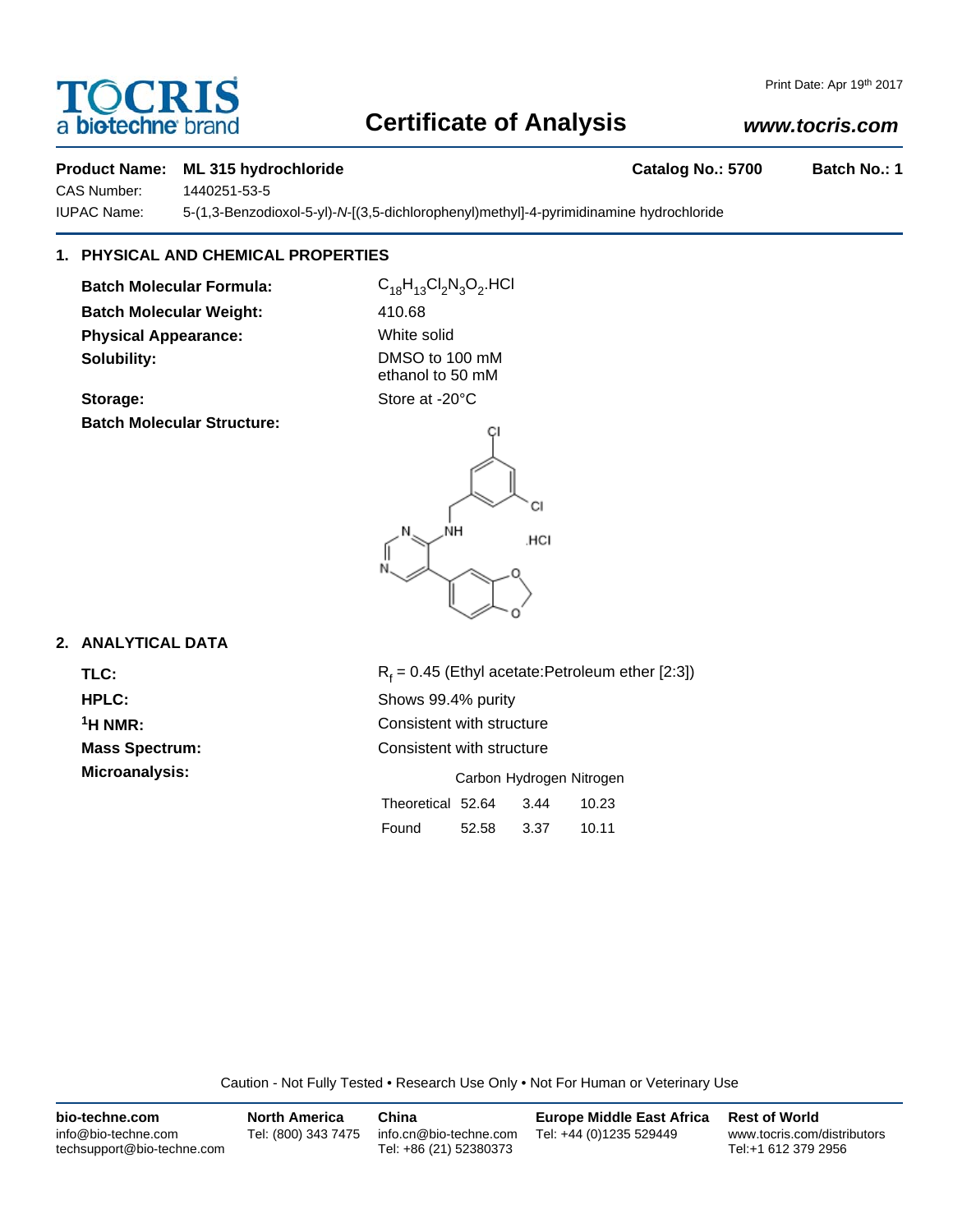# a **biotechne** brand

# **Certificate of Analysis**

# *www.tocris.com*

## **Product Name: ML 315 hydrochloride Catalog No.: 5700 Batch No.: 1**

CAS Number: 1440251-53-5

IUPAC Name: 5-(1,3-Benzodioxol-5-yl)-*N*-[(3,5-dichlorophenyl)methyl]-4-pyrimidinamine hydrochloride

# **1. PHYSICAL AND CHEMICAL PROPERTIES**

**Batch Molecular Formula:** C<sub>18</sub>H<sub>13</sub>Cl<sub>2</sub>N<sub>3</sub>O<sub>2</sub>.HCl **Batch Molecular Weight:** 410.68 **Physical Appearance:** White solid **Solubility:** DMSO to 100 mM

**Batch Molecular Structure:**

Storage: Store at -20°C

ethanol to 50 mM





# **2. ANALYTICAL DATA**

TLC: R<sub>f</sub>

 $R_f = 0.45$  (Ethyl acetate:Petroleum ether [2:3]) **HPLC:** Shows 99.4% purity **1H NMR:** Consistent with structure **Mass Spectrum:** Consistent with structure **Microanalysis:** Microanalysis: **Carbon Hydrogen Nitrogen** Theoretical 52.64 3.44 10.23 Found 52.58 3.37 10.11

Caution - Not Fully Tested • Research Use Only • Not For Human or Veterinary Use

| bio-techne.com                                    | <b>North America</b> | China                                            | <b>Europe Middle East Africa</b> | <b>Rest of World</b>                               |
|---------------------------------------------------|----------------------|--------------------------------------------------|----------------------------------|----------------------------------------------------|
| info@bio-techne.com<br>techsupport@bio-techne.com | Tel: (800) 343 7475  | info.cn@bio-techne.com<br>Tel: +86 (21) 52380373 | Tel: +44 (0)1235 529449          | www.tocris.com/distributors<br>Tel:+1 612 379 2956 |